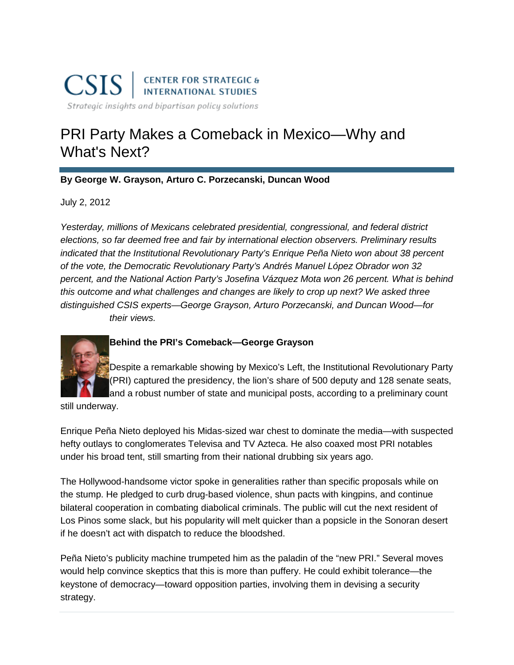# PRI Party Makes a Comeback in Mexico—Why and What's Next?

## **By [George W. Grayson,](http://csis.org/expert/george-w-grayson) [Arturo C. Porzecanski,](http://csis.org/expert/arturo-c-porzecanski) [Duncan Wood](http://csis.org/expert/duncan-wood)**

July 2, 2012

*Yesterday, millions of Mexicans celebrated presidential, congressional, and federal district elections, so far deemed free and fair by international election observers. Preliminary results indicated that the Institutional Revolutionary Party's Enrique Peña Nieto won about 38 percent of the vote, the Democratic Revolutionary Party's Andrés Manuel López Obrador won 32 percent, and the National Action Party's Josefina Vázquez Mota won 26 percent. What is behind this outcome and what challenges and changes are likely to crop up next? We asked three distinguished CSIS experts—George Grayson, Arturo Porzecanski, and Duncan Wood—for their views.*



# **Behind the PRI's Comeback—George Grayson**

Despite a remarkable showing by Mexico's Left, the Institutional Revolutionary Party (PRI) captured the presidency, the lion's share of 500 deputy and 128 senate seats, and a robust number of state and municipal posts, according to a preliminary count

still underway.

Enrique Peña Nieto deployed his Midas-sized war chest to dominate the media—with suspected hefty outlays to conglomerates Televisa and TV Azteca. He also coaxed most PRI notables under his broad tent, still smarting from their national drubbing six years ago.

The Hollywood-handsome victor spoke in generalities rather than specific proposals while on the stump. He pledged to curb drug-based violence, shun pacts with kingpins, and continue bilateral cooperation in combating diabolical criminals. The public will cut the next resident of Los Pinos some slack, but his popularity will melt quicker than a popsicle in the Sonoran desert if he doesn't act with dispatch to reduce the bloodshed.

Peña Nieto's publicity machine trumpeted him as the paladin of the "new PRI." Several moves would help convince skeptics that this is more than puffery. He could exhibit tolerance—the keystone of democracy—toward opposition parties, involving them in devising a security strategy.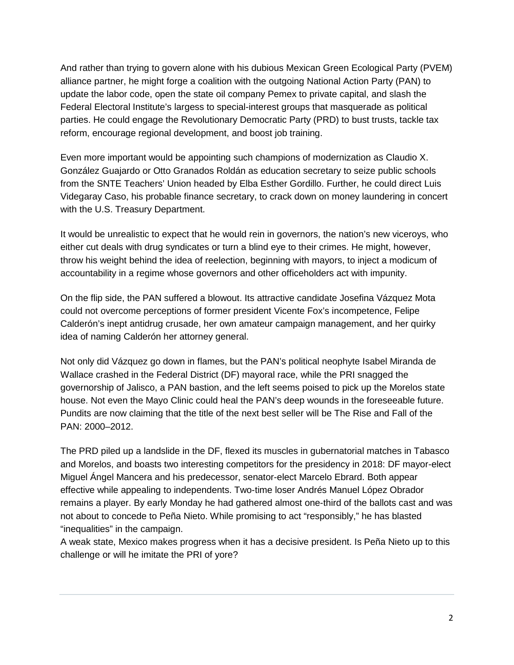And rather than trying to govern alone with his dubious Mexican Green Ecological Party (PVEM) alliance partner, he might forge a coalition with the outgoing National Action Party (PAN) to update the labor code, open the state oil company Pemex to private capital, and slash the Federal Electoral Institute's largess to special-interest groups that masquerade as political parties. He could engage the Revolutionary Democratic Party (PRD) to bust trusts, tackle tax reform, encourage regional development, and boost job training.

Even more important would be appointing such champions of modernization as Claudio X. González Guajardo or Otto Granados Roldán as education secretary to seize public schools from the SNTE Teachers' Union headed by Elba Esther Gordillo. Further, he could direct Luis Videgaray Caso, his probable finance secretary, to crack down on money laundering in concert with the U.S. Treasury Department.

It would be unrealistic to expect that he would rein in governors, the nation's new viceroys, who either cut deals with drug syndicates or turn a blind eye to their crimes. He might, however, throw his weight behind the idea of reelection, beginning with mayors, to inject a modicum of accountability in a regime whose governors and other officeholders act with impunity.

On the flip side, the PAN suffered a blowout. Its attractive candidate Josefina Vázquez Mota could not overcome perceptions of former president Vicente Fox's incompetence, Felipe Calderón's inept antidrug crusade, her own amateur campaign management, and her quirky idea of naming Calderón her attorney general.

Not only did Vázquez go down in flames, but the PAN's political neophyte Isabel Miranda de Wallace crashed in the Federal District (DF) mayoral race, while the PRI snagged the governorship of Jalisco, a PAN bastion, and the left seems poised to pick up the Morelos state house. Not even the Mayo Clinic could heal the PAN's deep wounds in the foreseeable future. Pundits are now claiming that the title of the next best seller will be The Rise and Fall of the PAN: 2000–2012.

The PRD piled up a landslide in the DF, flexed its muscles in gubernatorial matches in Tabasco and Morelos, and boasts two interesting competitors for the presidency in 2018: DF mayor-elect Miguel Ángel Mancera and his predecessor, senator-elect Marcelo Ebrard. Both appear effective while appealing to independents. Two-time loser Andrés Manuel López Obrador remains a player. By early Monday he had gathered almost one-third of the ballots cast and was not about to concede to Peña Nieto. While promising to act "responsibly," he has blasted "inequalities" in the campaign.

A weak state, Mexico makes progress when it has a decisive president. Is Peña Nieto up to this challenge or will he imitate the PRI of yore?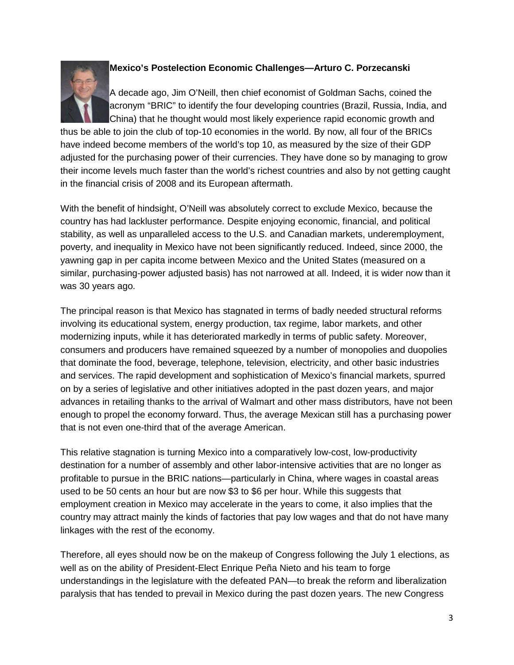

### **Mexico's Postelection Economic Challenges—Arturo C. Porzecanski**

A decade ago, Jim O'Neill, then chief economist of Goldman Sachs, coined the acronym "BRIC" to identify the four developing countries (Brazil, Russia, India, and China) that he thought would most likely experience rapid economic growth and

thus be able to join the club of top-10 economies in the world. By now, all four of the BRICs have indeed become members of the world's top 10, as measured by the size of their GDP adjusted for the purchasing power of their currencies. They have done so by managing to grow their income levels much faster than the world's richest countries and also by not getting caught in the financial crisis of 2008 and its European aftermath.

With the benefit of hindsight, O'Neill was absolutely correct to exclude Mexico, because the country has had lackluster performance. Despite enjoying economic, financial, and political stability, as well as unparalleled access to the U.S. and Canadian markets, underemployment, poverty, and inequality in Mexico have not been significantly reduced. Indeed, since 2000, the yawning gap in per capita income between Mexico and the United States (measured on a similar, purchasing-power adjusted basis) has not narrowed at all. Indeed, it is wider now than it was 30 years ago.

The principal reason is that Mexico has stagnated in terms of badly needed structural reforms involving its educational system, energy production, tax regime, labor markets, and other modernizing inputs, while it has deteriorated markedly in terms of public safety. Moreover, consumers and producers have remained squeezed by a number of monopolies and duopolies that dominate the food, beverage, telephone, television, electricity, and other basic industries and services. The rapid development and sophistication of Mexico's financial markets, spurred on by a series of legislative and other initiatives adopted in the past dozen years, and major advances in retailing thanks to the arrival of Walmart and other mass distributors, have not been enough to propel the economy forward. Thus, the average Mexican still has a purchasing power that is not even one-third that of the average American.

This relative stagnation is turning Mexico into a comparatively low-cost, low-productivity destination for a number of assembly and other labor-intensive activities that are no longer as profitable to pursue in the BRIC nations—particularly in China, where wages in coastal areas used to be 50 cents an hour but are now \$3 to \$6 per hour. While this suggests that employment creation in Mexico may accelerate in the years to come, it also implies that the country may attract mainly the kinds of factories that pay low wages and that do not have many linkages with the rest of the economy.

Therefore, all eyes should now be on the makeup of Congress following the July 1 elections, as well as on the ability of President-Elect Enrique Peña Nieto and his team to forge understandings in the legislature with the defeated PAN—to break the reform and liberalization paralysis that has tended to prevail in Mexico during the past dozen years. The new Congress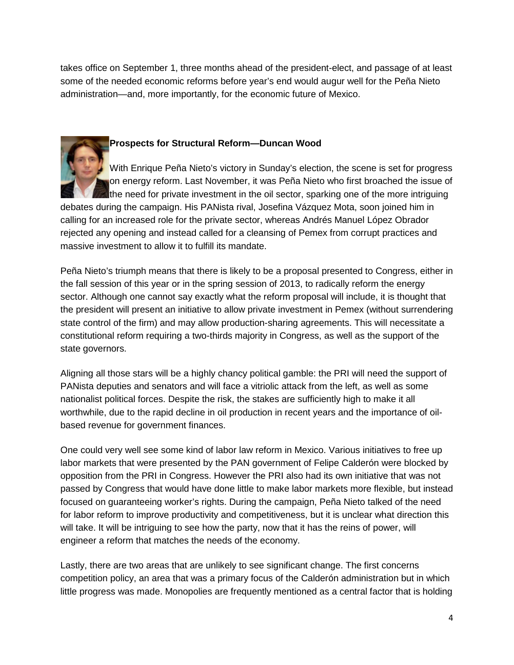takes office on September 1, three months ahead of the president-elect, and passage of at least some of the needed economic reforms before year's end would augur well for the Peña Nieto administration—and, more importantly, for the economic future of Mexico.



#### **Prospects for Structural Reform—Duncan Wood**

With Enrique Peña Nieto's victory in Sunday's election, the scene is set for progress on energy reform. Last November, it was Peña Nieto who first broached the issue of the need for private investment in the oil sector, sparking one of the more intriguing debates during the campaign. His PANista rival, Josefina Vázquez Mota, soon joined him in calling for an increased role for the private sector, whereas Andrés Manuel López Obrador rejected any opening and instead called for a cleansing of Pemex from corrupt practices and massive investment to allow it to fulfill its mandate.

Peña Nieto's triumph means that there is likely to be a proposal presented to Congress, either in the fall session of this year or in the spring session of 2013, to radically reform the energy sector. Although one cannot say exactly what the reform proposal will include, it is thought that the president will present an initiative to allow private investment in Pemex (without surrendering state control of the firm) and may allow production-sharing agreements. This will necessitate a constitutional reform requiring a two-thirds majority in Congress, as well as the support of the state governors.

Aligning all those stars will be a highly chancy political gamble: the PRI will need the support of PANista deputies and senators and will face a vitriolic attack from the left, as well as some nationalist political forces. Despite the risk, the stakes are sufficiently high to make it all worthwhile, due to the rapid decline in oil production in recent years and the importance of oilbased revenue for government finances.

One could very well see some kind of labor law reform in Mexico. Various initiatives to free up labor markets that were presented by the PAN government of Felipe Calderón were blocked by opposition from the PRI in Congress. However the PRI also had its own initiative that was not passed by Congress that would have done little to make labor markets more flexible, but instead focused on guaranteeing worker's rights. During the campaign, Peña Nieto talked of the need for labor reform to improve productivity and competitiveness, but it is unclear what direction this will take. It will be intriguing to see how the party, now that it has the reins of power, will engineer a reform that matches the needs of the economy.

Lastly, there are two areas that are unlikely to see significant change. The first concerns competition policy, an area that was a primary focus of the Calderón administration but in which little progress was made. Monopolies are frequently mentioned as a central factor that is holding